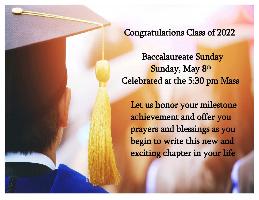Congratulations Class of 2022

 Baccalaureate Sunday **Sunday, May 8<sup>th</sup>** Celebrated at the 5:30 pm Mass

> Let us honor your milestone achievement and offer you prayers and blessings as you begin to write this new and exciting chapter in your life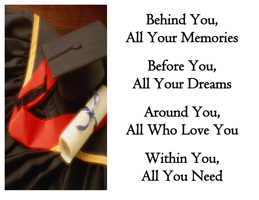

## Behind You, All Your Memories

Before You, All Your Dreams

Around You, All Who Love You

> Within You, All You Need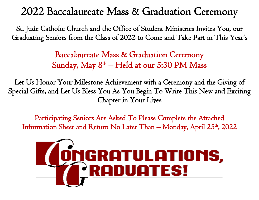## 2022 Baccalaureate Mass & Graduation Ceremony

St. Jude Catholic Church and the Office of Student Ministries Invites You, our Graduating Seniors from the Class of 2022 to Come and Take Part in This Year s '

> Baccalaureate Mass & Graduation Ceremony Sunday, May  $8^{\text{th}}$  – Held at our 5:30 PM Mass

Let Us Honor Your Milestone Achievement with a Ceremony and the Giving of Special Gifts, and Let Us Bless You As You Begin To Write This New and Exciting Chapter in Your Lives

Participating Seniors Are Asked To Please Complete the Attached Information Sheet and Return No Later Than – Monday, April 25<sup>th</sup>, 2022